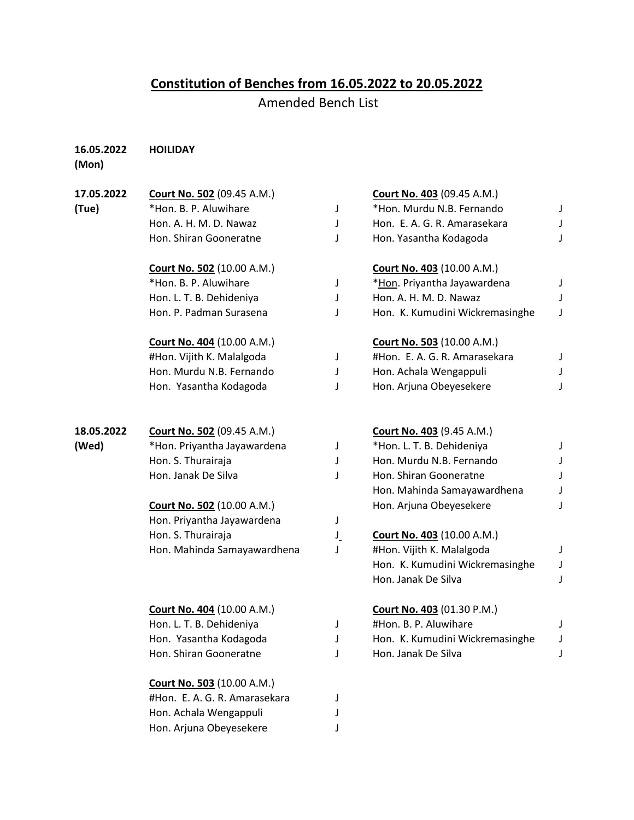## **Constitution of Benches from 16.05.2022 to 20.05.2022**

Amended Bench List

## **16.05.2022 HOILIDAY**

**(Mon)**

| 17.05.2022 | <b>Court No. 502 (09.45 A.M.)</b> |              | <b>Court No. 403 (09.45 A.M.)</b> |   |
|------------|-----------------------------------|--------------|-----------------------------------|---|
| (Tue)      | *Hon. B. P. Aluwihare             | J            | *Hon. Murdu N.B. Fernando         | J |
|            | Hon. A. H. M. D. Nawaz            | J            | Hon. E. A. G. R. Amarasekara      | J |
|            | Hon. Shiran Gooneratne            | J            | Hon. Yasantha Kodagoda            | J |
|            | Court No. 502 (10.00 A.M.)        |              | <b>Court No. 403</b> (10.00 A.M.) |   |
|            | *Hon. B. P. Aluwihare             | J            | *Hon. Priyantha Jayawardena       | J |
|            | Hon. L. T. B. Dehideniya          | J            | Hon. A. H. M. D. Nawaz            | J |
|            | Hon. P. Padman Surasena           | J            | Hon. K. Kumudini Wickremasinghe   | J |
|            | <b>Court No. 404 (10.00 A.M.)</b> |              | <b>Court No. 503 (10.00 A.M.)</b> |   |
|            | #Hon. Vijith K. Malalgoda         | J            | #Hon. E. A. G. R. Amarasekara     | J |
|            | Hon. Murdu N.B. Fernando          | J            | Hon. Achala Wengappuli            | J |
|            | Hon. Yasantha Kodagoda            | J            | Hon. Arjuna Obeyesekere           | J |
| 18.05.2022 | Court No. 502 (09.45 A.M.)        |              | <b>Court No. 403 (9.45 A.M.)</b>  |   |
| (Wed)      | *Hon. Priyantha Jayawardena       | J            | *Hon. L. T. B. Dehideniya         | J |
|            | Hon. S. Thurairaja                | J            | Hon. Murdu N.B. Fernando          | J |
|            | Hon. Janak De Silva               | J            | Hon. Shiran Gooneratne            | J |
|            |                                   |              | Hon. Mahinda Samayawardhena       |   |
|            | <b>Court No. 502 (10.00 A.M.)</b> |              | Hon. Arjuna Obeyesekere           | J |
|            | Hon. Priyantha Jayawardena        | J            |                                   |   |
|            | Hon. S. Thurairaja                | $\mathsf{L}$ | Court No. 403 (10.00 A.M.)        |   |
|            | Hon. Mahinda Samayawardhena       | J            | #Hon. Vijith K. Malalgoda         | J |
|            |                                   |              | Hon. K. Kumudini Wickremasinghe   | J |
|            |                                   |              | Hon. Janak De Silva               | J |
|            | Court No. 404 (10.00 A.M.)        |              | Court No. 403 (01.30 P.M.)        |   |
|            | Hon. L. T. B. Dehideniya          | J            | #Hon. B. P. Aluwihare             | J |
|            | Hon. Yasantha Kodagoda            | J            | Hon. K. Kumudini Wickremasinghe   | J |
|            | Hon. Shiran Gooneratne            | J            | Hon. Janak De Silva               | J |
|            | <b>Court No. 503 (10.00 A.M.)</b> |              |                                   |   |
|            | #Hon. E. A. G. R. Amarasekara     | J            |                                   |   |
|            | Hon. Achala Wengappuli            |              |                                   |   |
|            | Hon. Arjuna Obeyesekere           |              |                                   |   |